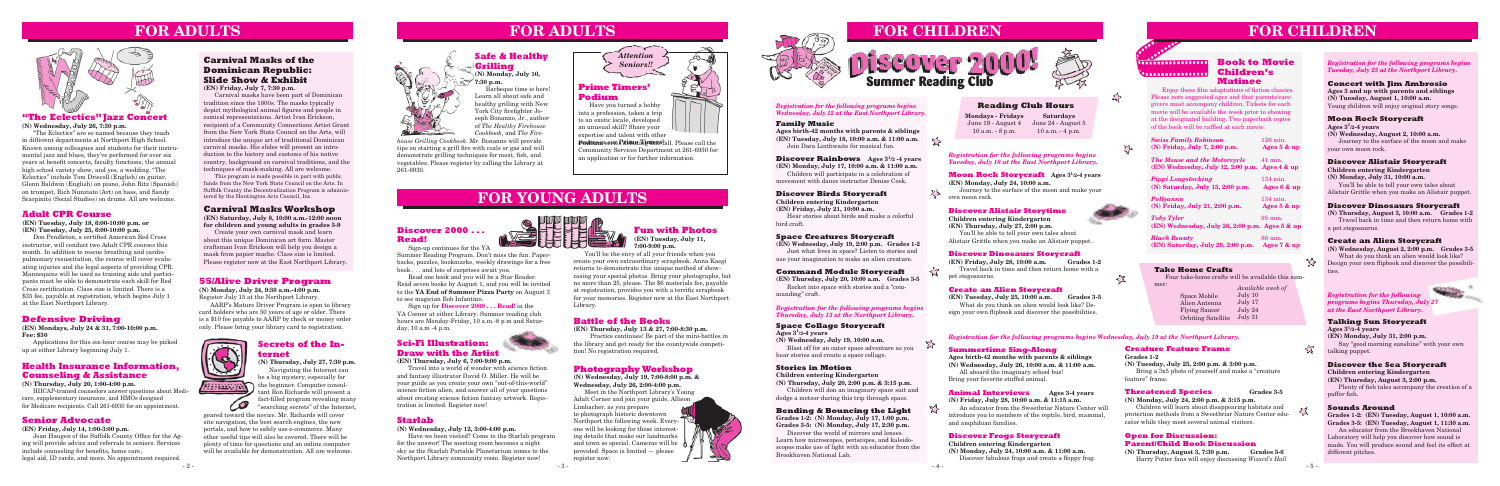#### **55/Alive Driver Program**

**(N) Monday, July 24, 9:30 a.m.-4:00 p.m.** Register July 15 at the Northport Library.

AARP's Mature Driver Program is open to library card holders who are 50 years of age or older. There is a \$10 fee payable to AARP by check or money order only. Please bring your library card to registration.



#### **Health Insurance Information, Counseling & Assistance**

**(N) Thursday, July 20, 1:00-4:00 p.m.**

HIICAP-trained counselors answer questions about Medicare, supplementary insurance, and HMOs designed for Medicare recipients. Call 261-6930 for an appointment.

#### **Senior Advocate**

**(EN) Friday, July 14, 1:00-3:00 p.m.**

 Joan Haugen of the Suffolk County Office for the Aging will provide advice and referrals to seniors. Services include counseling for benefits, home care, legal aid, ID cards, and more. No appointment required.

## **FOR ADULTS**

#### **Defensive Driving**

**(EN) Mondays, July 24 & 31, 7:00-10:00 p.m. Fee: \$30**

Applications for this six-hour course may be picked up at either Library beginning July 1.

#### **Space Collage Storycraft**

**Ages 31/2-4 years**

**(N) Wednesday, July 19, 10:00 a.m.**

Blast off for an outer space adventure as you hear stories and create a space collage.

#### **Stories in Motion**

**Children entering Kindergarten**

manding" craft. **EXECUTE 2008, 10:00 A.m.** Grades 3-5 Space Mobile 11 Milly 10 Registration for the following **Registration** for the following What do you think an alien would look like? Design your own flipbook and discover the possibilities.

**(N) Thursday, July 20, 2:00 p.m. & 3:15 p.m.** Children will don an imaginary space suit and dodge a meteor during this trip through space.

#### **Bending & Bouncing the Light**

**Grades 1-2: (N) Monday, July 17, 1:00 p.m. Grades 3-5: (N) Monday, July 17, 2:30 p.m.**

Discover the world of mirrors and lenses. Learn how microscopes, periscopes, and kaleidoscopes make use of light with an educator from the Brookhaven National Lab.

#### *Registration for the following programs begins Thursday, July 13 at the Northport Library.*

#### *Registration for the following programs begins Wednesday, July 12 at the East Northport Library.*

*Registration for the following programs begins Tuesday, July 18 at the East Northport Library.*

**Moon Rock Storycraft Ages 31/2-4 years (EN) Monday, July 24, 10:00 a.m.**

 $53$ 

Journey to the surface of the moon and make your own moon rock.

#### **Discover Alistair Storytime**

**Children entering Kindergarten (EN) Thursday, July 27, 2:00 p.m.** You'll be able to tell your own tales about Alistair Grittle when you make an Alistair puppet.

#### **Discover Dinosaurs Storycraft**



**(EN) Friday, July 28, 10:00 a.m. Grades 1-2** Travel back in time and then return home with a pet stegosaurus.

#### **Create an Alien Storycraft**

## **Open for Discussion: Parent/Child Book Discussion**<br>(N) Thursday, August 3, 7:30 p.m. Grades 5-6

**(N) Thursday, August 3, 7:30 p.m.** Harry Potter fans will enjoy discussing *Wizard's Hall* 

*Registration for the following programs begins Wednesday, July 19 at the Northport Library.*

# **Discover 2 Summer Reading Club**



#### **Summertime Sing-Along**

**Ages birth-42 months with parents & siblings (N) Wednesday, July 26, 10:00 a.m. & 11:00 a.m.**

All aboard the imaginary school bus! Bring your favorite stuffed animal.

#### **Animal Interviews Ages 3-4 years**

**(N) Friday, July 28, 10:00 a.m. & 11:15 a.m.**

An educator from the Sweetbriar Nature Center will introduce you to members of the reptile, bird, mammal, and amphibian families.

#### **Discover Frogs Storycraft**

#### **Children entering Kindergarten**

**(N) Monday, July 24, 10:00 a.m. & 11:00 a.m.** Discover fabulous frogs and create a floppy frog.

*Registration for the following programs begins Tuesday, July 25 at the Northport Library.*

 **Fun with Photos** *I* (EN) Tuesday, July 11,  $7:00-9:00$  p.m.

#### **Talking Sun Storycraft**

**Ages 31/2-4 years (EN) Monday, July 31, 2:00 p.m.** Say "good morning sunshine" with your own talking puppet.

#### **Discover the Sea Storycraft**

**Children entering Kindergarten**

**(EN) Thursday, August 3, 2:00 p.m.**

 Plenty of fish tales accompany the creation of a puffer fish.

#### **Sounds Around**

**Grades 1-2: (EN) Tuesday, August 1, 10:00 a.m. Grades 3-5: (EN) Tuesday, August 1, 11:30 a.m.**

An educator from the Brookhaven National Laboratory will help you discover how sound is made. You will produce sound and feel its effect at different pitches.

 $\mathbb{Z}$ 

仔

#### **Concert with Jim Ambrosio**

**Ages 3 and up with parents and siblings (N) Tuesday, August 1, 10:00 a.m.** Young children will enjoy original story songs.

#### **Moon Rock Storycraft**

**Ages 31/2-4 years**

**(N) Wednesday, August 2, 10:00 a.m.**  Journey to the surface of the moon and make your own moon rock.

#### **Discover Alistair Storycraft**

**Children entering Kindergarten (N) Monday, July 31, 10:00 a.m.**

You'll be able to tell your own tales about Alistair Grittle when you make an Alistair puppet.

#### **Discover Dinosaurs Storycraft**

**(N) Thursday, August 3, 10:00 a.m. Grades 1-2** Travel back in time and then return home with a pet stegosaurus.

#### **Create an Alien Storycraft**

**(N) Wednesday, August 2, 2:00 p.m. Grades 3-5** What do you think an alien would look like?

Design your own flipbook and discover the possibilities.



Barbeque time is here! Learn all about safe and healthy grilling with New York City firefighter Joseph Bonanno, Jr., author of *The Healthy Firehouse Cookbook,* and *The Fire-*

# **FOR CHILDREN**



#### **Creature Feature Frame**

**Grades 1-2 (N) Tuesday, July 25, 2:00 p.m. & 3:00 p.m.** Bring a 3x5 photo of yourself and make a "creature feature" frame.

#### **Threatened Species Grades 3-5**

**(N) Monday, July 24, 2:00 p.m. & 3:15 p.m.**

Children will learn about disappearing habitats and protection methods from a Sweetbriar Nature Center educator while they meet several animal visitors.

June 19 - August 4 June 24 - August 5 **Saturdays**

**Mondays - Fridays** 10 a.m. - 8 p.m. 10 a.m. - 4 p.m.

#### **Reading Club Hours**

## **Carnival Masks of the Dominican Republic: Slide Show & Exhibit**

**(EN) Friday, July 7, 7:30 p.m.**

**Podium serieP debuti Limersfall**. Please call the Community Services Department at 261-6930 for an application or for further information.

Carnival masks have been part of Dominican tradition since the 1800s. The masks typically depict mythological animal figures and people in comical representations. Artist Ivan Erickson, recipient of a Community Connections Artist Grant from the New York State Council on the Arts, will introduce the unique art of traditional Dominican carnival masks. His slides will present an introduction to the history and customs of his native country, background on carnival traditions, and the techniques of mask-making. All are welcome.

This program is made possible in part with public funds from the New York State Council on the Arts. In Suffolk County the Decentralization Program is administered by the Huntington Arts Council, Inc.

## **Sci-Fi Illustration: Draw with the Artist**



#### **(EN) Thursday, July 6, 7:00-9:00 p.m.**

Travel into a world of wonder with science fiction and fantasy illustrator David O. Miller. He will be your guide as you create your own "out-of-this-world" science fiction alien, and answer all of your questions about creating science fiction fantasy artwork. Registration is limited. Register now!

geared toward the novice. Mr. Richards will cover site navigation, the best search engines, the new portals, and how to safely use e-commerce. Many other useful tips will also be covered. There will be plenty of time for questions and an online computer will be available for demonstration. All are welcome.



You'll be the envy of all your friends when you create your own extraordinary scrapbook. Anna Kaegi returns to demonstrate this unique method of showcasing your special photos. Bring your photographs, but no more than 25, please. The \$6 materials fee, payable at registration, provides you with a terrific scrapbook for your memories. Register now at the East Northport Library.

#### **Starlab**

#### **(N) Wednesday, July 12, 3:00-4:00 p.m.**

Have we been visited? Come to the Starlab program for the answer! The meeting room becomes a night sky as the Starlab Portable Planetarium comes to the Northport Library community room. Register now!

#### **Battle of the Books**

**(EN) Thursday, July 13 & 27, 7:00-8:30 p.m.** 

 Practice continues! Be part of the mini-battles in the library and get ready for the countywide competition! No registration required.

#### **Photography Workshop**

**(N) Wednesday, July 19, 7:00-8:00 p.m. & Wednesday, July 26, 2:00-4:00 p.m.**

Meet in the Northport Library's Young Adult Corner and join your guide, Allison Limbacher, as you prepare to photograph historic downtown Northport the following week. Everyone will be looking for those interesting details that make our landmarks and town so special. Cameras will be provided. Space is limited — please register now.



#### **Adult CPR Course**

**(EN) Tuesday, July 18, 6:00-10:00 p.m. or (EN) Tuesday, July 25, 6:00-10:00 p.m.**

Don Pendleton, a certified American Red Cross instructor, will conduct two Adult CPR courses this month. In addition to rescue breathing and cardiopulmonary resuscitation, the course will cover evaluating injuries and the legal aspects of providing CPR. Mannequins will be used as training aids and participants must be able to demonstrate each skill for Red Cross certification. Class size is limited. There is a \$35 fee, payable at registration, which begins July 1 at the East Northport Library.

## **FOR ADULTS**



#### **"The Eclectics" Jazz Concert**

**(N) Wednesday, July 26, 7:30 p.m.**

"The Eclectics" are so named because they teach in different departments at Northport High School. Known among colleagues and students for their instrumental jazz and blues, they've performed for over six years at benefit concerts, faculty functions, the annual high school variety show, and yes, a wedding. "The Eclectics" include Tom Driscoll (English) on guitar, Glenn Baldwin (English) on piano, John Ritz (Spanish) on trumpet, Rich Nunziato (Art) on bass, and Sandy Scarpinito (Social Studies) on drums. All are welcome.

#### **Safe & Healthy Grilling**

**(N) Monday, July 10, 7:30 p.m.**

## **FOR YOUNG ADULTS**

*house Grilling Cookbook*. Mr. Bonanno will provide tips on starting a grill fire with coals or gas and will demonstrate grilling techniques for meat, fish, and vegetables. Please register by calling the Library at 261-6930.



 $55$ 

 $52$ 

# **Matinee**

Enjoy these film adaptations of fiction classics. Please note suggested ages and that parents/caregivers must accompany children. Tickets for each movie will be available the week prior to showing at the designated building. Two paperback copies of the book will be raffled at each movie.

| <b>Swiss Family Robinson</b><br>(N) Friday, July 7, 2:00 p.m.             | $126 \text{ min.}$<br>Ages 5 & up |
|---------------------------------------------------------------------------|-----------------------------------|
| <b>The Mouse and the Motorcycle</b><br>(EN) Wednesday, July 12, 2:00 p.m. | $41$ min.<br>Ages 4 & up          |
| <b>Pippi Longstocking</b><br>(N) Saturday, July 15, 2:00 p.m.             | $134$ min.<br>Ages 6 & up         |
| Pollyanna<br>(N) Friday, July 21, 2:00 p.m.                               | $134 \text{ min.}$<br>Ages 5 & up |
| <b>Toby Tyler</b><br>(EN) Wednesday, July 26, 2:00 p.m. Ages 5 & up       | $95 \text{ min}$ .                |
| <b>Black Beauty</b><br>(EN) Saturday, July 29, 2:00 p.m.                  | 88 min.<br>Ages 7 & up            |

### **Discover 2000 . . . Read!**



Sign-up continues for the YA Summer Reading Program. Don't miss the fun. Paperbacks, puzzles, bookmarks, weekly drawings for a free book . . . and lots of surprises await you.

Read one book and you will be a Star Reader. Read seven books by August 1, and you will be invited to the **YA End of Summer Pizza Party** on August 3 to see magician Bob Infantino.

Sign up for **Discover 2000 . . . Read!** in the YA Corner at either Library. Summer reading club hours are Monday-Friday, 10 a.m.-8 p.m and Saturday, 10 a.m -4 p.m.

**Podium**



into a profession, taken a trip to an exotic locale, developed an unusual skill? Share your expertise and talent with other

## *Attention*  $-40$ *Seniors!!* **Prime Timers'**  Have you turned a hobby

#### **Secrets of the Internet**

**(N) Thursday, July 27, 7:30 p.m.** Navigating the Internet can be a big mystery, especially for

the beginner. Computer consultant Ron Richards will present a fact-filled program revealing many "searching secrets" of the Internet,

#### **Carnival Masks Workshop**

**(EN) Saturday, July 8, 10:00 a.m.-12:00 noon for children and young adults in grades 5-9**

Create your own carnival mask and learn about this unique Dominican art form. Master craftsman Ivan Erickson will help you design a mask from papier mache. Class size is limited. Please register now at the East Northport Library.

#### **Family Music**

**Ages birth-42 months with parents & siblings (EN) Tuesday, July 18, 10:00 a.m. & 11:00 a.m.** Join Dara Linthwaite for musical fun.

#### **Discover Rainbows Ages 31/2 -4 years**

**(EN) Monday, July 17, 10:00 a.m. & 11:00 a.m.** Children will participate in a celebration of movement with dance instructor Denise Cook.

#### **Discover Birds Storycraft**

**Children entering Kindergarten (EN) Friday, July 21, 10:00 a.m.**

Hear stories about birds and make a colorful bird craft.

## **Space Creatures Storycraft (EN) Wednesday, July 19, 2:00 p.m. Grades 1-2**

Just what lives in space? Listen to stories and use your imagination to make an alien creature.

#### **Command Module Storycraft**

**(EN) Thursday, July 20, 10:00 a.m. Grades 3-5** Rocket into space with stories and a "com-

*programs begins Thursday, July 27 at the East Northport Library.*

## **FOR CHILDREN**

#### **Take Home Crafts**

Four take-home crafts will be available this sum-

mer: *Available week of* July 10 July 17 July 24 Orbiting Satellite July 31 Space Mobile Alien Antenna Flying Saucer